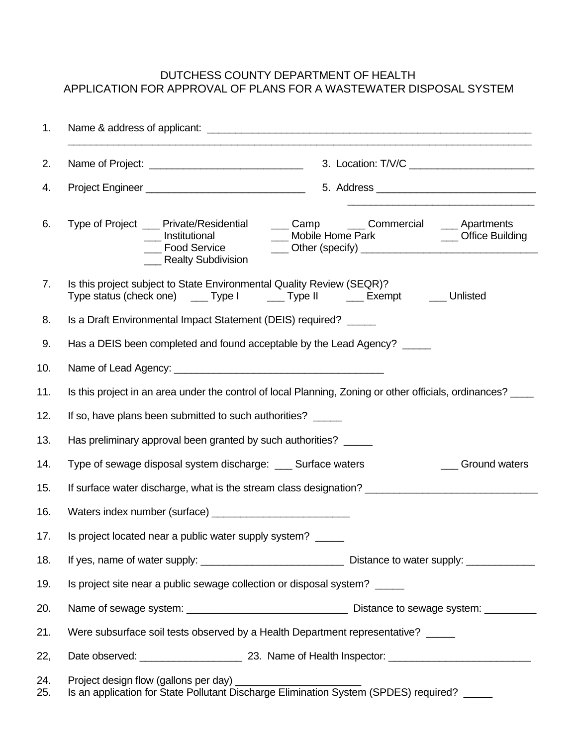## DUTCHESS COUNTY DEPARTMENT OF HEALTH APPLICATION FOR APPROVAL OF PLANS FOR A WASTEWATER DISPOSAL SYSTEM

| 1.         |                                                                                                                                                                                                            |
|------------|------------------------------------------------------------------------------------------------------------------------------------------------------------------------------------------------------------|
| 2.         |                                                                                                                                                                                                            |
| 4.         |                                                                                                                                                                                                            |
| 6.         | ___ Camp ____ Commercial ____ Apartments<br>Type of Project __ Private/Residential<br>___ Mobile Home Park _____________ Office Building<br>__ Institutional<br>___ Food Service<br>___ Realty Subdivision |
| 7.         | Is this project subject to State Environmental Quality Review (SEQR)?<br>Type status (check one) ____ Type I ____ Type II ____ Exempt ____ Unlisted                                                        |
| 8.         | Is a Draft Environmental Impact Statement (DEIS) required? _____                                                                                                                                           |
| 9.         | Has a DEIS been completed and found acceptable by the Lead Agency? _____                                                                                                                                   |
| 10.        |                                                                                                                                                                                                            |
| 11.        | Is this project in an area under the control of local Planning, Zoning or other officials, ordinances?                                                                                                     |
| 12.        | If so, have plans been submitted to such authorities? _____                                                                                                                                                |
| 13.        | Has preliminary approval been granted by such authorities? _____                                                                                                                                           |
| 14.        | Type of sewage disposal system discharge: ____ Surface waters<br><b>Solution</b> Ground waters                                                                                                             |
| 15.        |                                                                                                                                                                                                            |
| 16.        |                                                                                                                                                                                                            |
| 17.        | Is project located near a public water supply system?                                                                                                                                                      |
| 18.        |                                                                                                                                                                                                            |
| 19.        | Is project site near a public sewage collection or disposal system?                                                                                                                                        |
| 20.        |                                                                                                                                                                                                            |
| 21.        | Were subsurface soil tests observed by a Health Department representative? _____                                                                                                                           |
| 22,        |                                                                                                                                                                                                            |
| 24.<br>25. | Is an application for State Pollutant Discharge Elimination System (SPDES) required? _____                                                                                                                 |